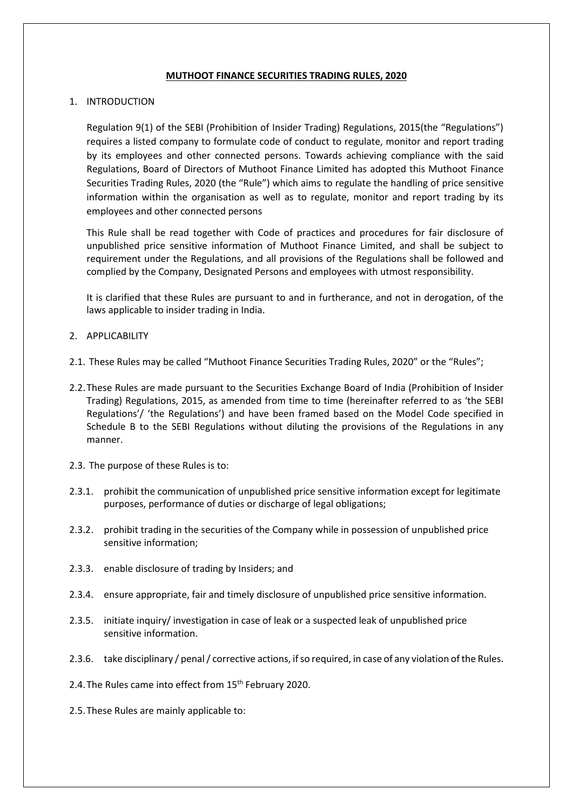## **MUTHOOT FINANCE SECURITIES TRADING RULES, 2020**

# 1. INTRODUCTION

Regulation 9(1) of the SEBI (Prohibition of Insider Trading) Regulations, 2015(the "Regulations") requires a listed company to formulate code of conduct to regulate, monitor and report trading by its employees and other connected persons. Towards achieving compliance with the said Regulations, Board of Directors of Muthoot Finance Limited has adopted this Muthoot Finance Securities Trading Rules, 2020 (the "Rule") which aims to regulate the handling of price sensitive information within the organisation as well as to regulate, monitor and report trading by its employees and other connected persons

This Rule shall be read together with Code of practices and procedures for fair disclosure of unpublished price sensitive information of Muthoot Finance Limited, and shall be subject to requirement under the Regulations, and all provisions of the Regulations shall be followed and complied by the Company, Designated Persons and employees with utmost responsibility.

It is clarified that these Rules are pursuant to and in furtherance, and not in derogation, of the laws applicable to insider trading in India.

## 2. APPLICABILITY

- 2.1. These Rules may be called "Muthoot Finance Securities Trading Rules, 2020" or the "Rules";
- 2.2.These Rules are made pursuant to the Securities Exchange Board of India (Prohibition of Insider Trading) Regulations, 2015, as amended from time to time (hereinafter referred to as 'the SEBI Regulations'/ 'the Regulations') and have been framed based on the Model Code specified in Schedule B to the SEBI Regulations without diluting the provisions of the Regulations in any manner.
- 2.3. The purpose of these Rules is to:
- 2.3.1. prohibit the communication of unpublished price sensitive information except for legitimate purposes, performance of duties or discharge of legal obligations;
- 2.3.2. prohibit trading in the securities of the Company while in possession of unpublished price sensitive information;
- 2.3.3. enable disclosure of trading by Insiders; and
- 2.3.4. ensure appropriate, fair and timely disclosure of unpublished price sensitive information.
- 2.3.5. initiate inquiry/ investigation in case of leak or a suspected leak of unpublished price sensitive information.
- 2.3.6. take disciplinary / penal / corrective actions, if so required, in case of any violation of the Rules.
- 2.4. The Rules came into effect from 15<sup>th</sup> February 2020.
- 2.5.These Rules are mainly applicable to: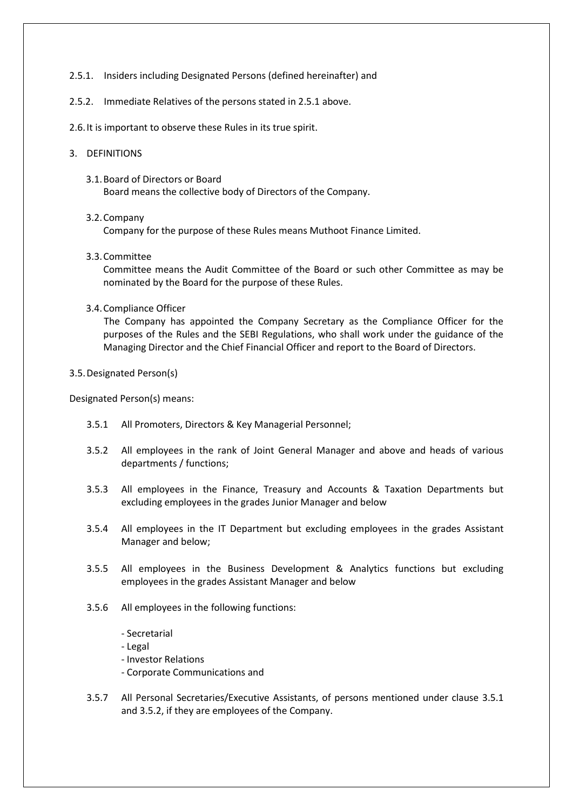- 2.5.1. Insiders including Designated Persons (defined hereinafter) and
- 2.5.2. Immediate Relatives of the persons stated in 2.5.1 above.
- 2.6.It is important to observe these Rules in its true spirit.
- 3. DEFINITIONS
	- 3.1.Board of Directors or Board Board means the collective body of Directors of the Company.

# 3.2.Company

Company for the purpose of these Rules means Muthoot Finance Limited.

3.3.Committee

Committee means the Audit Committee of the Board or such other Committee as may be nominated by the Board for the purpose of these Rules.

3.4.Compliance Officer

The Company has appointed the Company Secretary as the Compliance Officer for the purposes of the Rules and the SEBI Regulations, who shall work under the guidance of the Managing Director and the Chief Financial Officer and report to the Board of Directors.

# 3.5.Designated Person(s)

Designated Person(s) means:

- 3.5.1 All Promoters, Directors & Key Managerial Personnel;
- 3.5.2 All employees in the rank of Joint General Manager and above and heads of various departments / functions;
- 3.5.3 All employees in the Finance, Treasury and Accounts & Taxation Departments but excluding employees in the grades Junior Manager and below
- 3.5.4 All employees in the IT Department but excluding employees in the grades Assistant Manager and below;
- 3.5.5 All employees in the Business Development & Analytics functions but excluding employees in the grades Assistant Manager and below
- 3.5.6 All employees in the following functions:
	- Secretarial
	- Legal
	- Investor Relations
	- Corporate Communications and
- 3.5.7 All Personal Secretaries/Executive Assistants, of persons mentioned under clause 3.5.1 and 3.5.2, if they are employees of the Company.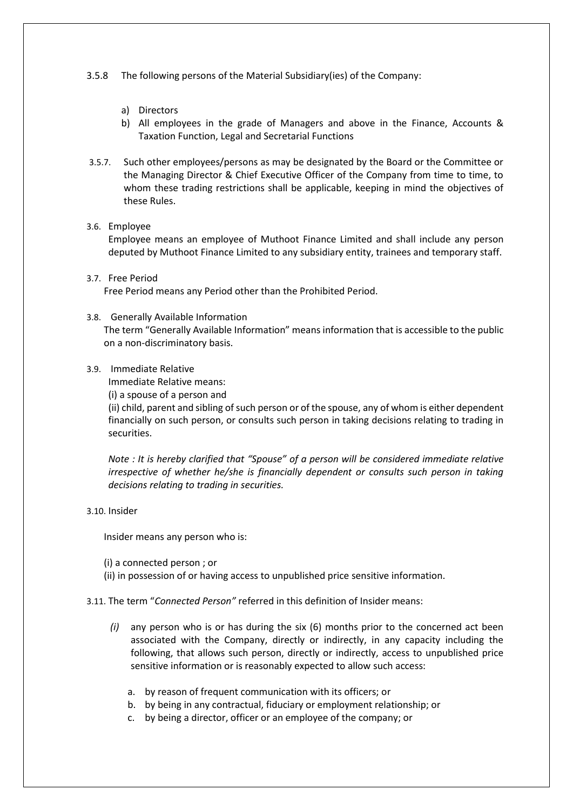- 3.5.8 The following persons of the Material Subsidiary(ies) of the Company:
	- a) Directors
	- b) All employees in the grade of Managers and above in the Finance, Accounts & Taxation Function, Legal and Secretarial Functions
- 3.5.7. Such other employees/persons as may be designated by the Board or the Committee or the Managing Director & Chief Executive Officer of the Company from time to time, to whom these trading restrictions shall be applicable, keeping in mind the objectives of these Rules.

### 3.6. Employee

Employee means an employee of Muthoot Finance Limited and shall include any person deputed by Muthoot Finance Limited to any subsidiary entity, trainees and temporary staff.

3.7. Free Period

Free Period means any Period other than the Prohibited Period.

3.8. Generally Available Information The term "Generally Available Information" means information that is accessible to the public on a non-discriminatory basis.

#### 3.9. Immediate Relative

Immediate Relative means:

(i) a spouse of a person and

(ii) child, parent and sibling of such person or of the spouse, any of whom is either dependent financially on such person, or consults such person in taking decisions relating to trading in securities.

*Note : It is hereby clarified that "Spouse" of a person will be considered immediate relative irrespective of whether he/she is financially dependent or consults such person in taking decisions relating to trading in securities.* 

3.10. Insider

Insider means any person who is:

(i) a connected person ; or

(ii) in possession of or having access to unpublished price sensitive information.

## 3.11. The term "*Connected Person"* referred in this definition of Insider means:

- *(i)* any person who is or has during the six (6) months prior to the concerned act been associated with the Company, directly or indirectly, in any capacity including the following, that allows such person, directly or indirectly, access to unpublished price sensitive information or is reasonably expected to allow such access:
	- a. by reason of frequent communication with its officers; or
	- b. by being in any contractual, fiduciary or employment relationship; or
	- c. by being a director, officer or an employee of the company; or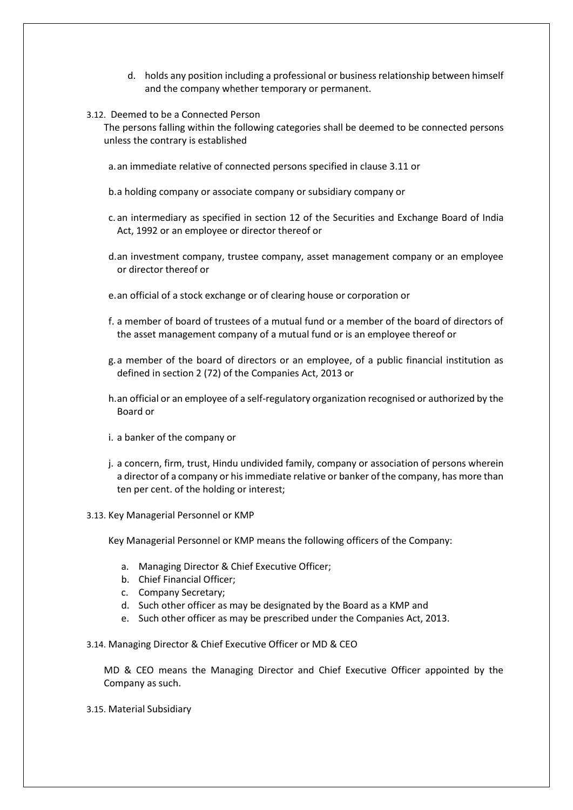- d. holds any position including a professional or business relationship between himself and the company whether temporary or permanent.
- 3.12. Deemed to be a Connected Person

The persons falling within the following categories shall be deemed to be connected persons unless the contrary is established

a.an immediate relative of connected persons specified in clause 3.11 or

- b.a holding company or associate company or subsidiary company or
- c. an intermediary as specified in section 12 of the Securities and Exchange Board of India Act, 1992 or an employee or director thereof or
- d.an investment company, trustee company, asset management company or an employee or director thereof or
- e.an official of a stock exchange or of clearing house or corporation or
- f. a member of board of trustees of a mutual fund or a member of the board of directors of the asset management company of a mutual fund or is an employee thereof or
- g.a member of the board of directors or an employee, of a public financial institution as defined in section 2 (72) of the Companies Act, 2013 or
- h.an official or an employee of a self-regulatory organization recognised or authorized by the Board or
- i. a banker of the company or
- j. a concern, firm, trust, Hindu undivided family, company or association of persons wherein a director of a company or his immediate relative or banker of the company, has more than ten per cent. of the holding or interest;
- 3.13. Key Managerial Personnel or KMP

Key Managerial Personnel or KMP means the following officers of the Company:

- a. Managing Director & Chief Executive Officer;
- b. Chief Financial Officer;
- c. Company Secretary;
- d. Such other officer as may be designated by the Board as a KMP and
- e. Such other officer as may be prescribed under the Companies Act, 2013.

3.14. Managing Director & Chief Executive Officer or MD & CEO

MD & CEO means the Managing Director and Chief Executive Officer appointed by the Company as such.

3.15. Material Subsidiary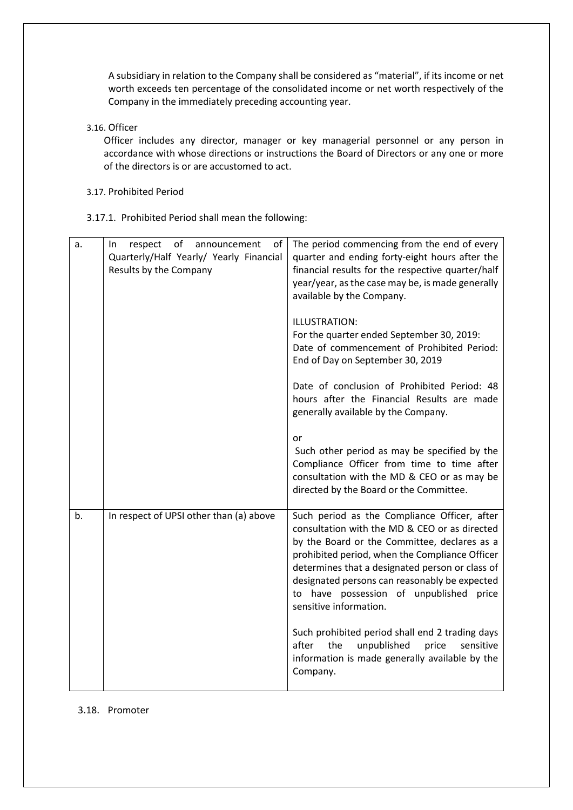A subsidiary in relation to the Company shall be considered as "material", if its income or net worth exceeds ten percentage of the consolidated income or net worth respectively of the Company in the immediately preceding accounting year.

3.16. Officer

Officer includes any director, manager or key managerial personnel or any person in accordance with whose directions or instructions the Board of Directors or any one or more of the directors is or are accustomed to act.

3.17. Prohibited Period

3.17.1. Prohibited Period shall mean the following:

| a. | of<br>announcement<br>In.<br>respect<br>ot<br>Quarterly/Half Yearly/ Yearly Financial<br>Results by the Company | The period commencing from the end of every<br>quarter and ending forty-eight hours after the<br>financial results for the respective quarter/half<br>year/year, as the case may be, is made generally<br>available by the Company.                                                                                                                                      |
|----|-----------------------------------------------------------------------------------------------------------------|--------------------------------------------------------------------------------------------------------------------------------------------------------------------------------------------------------------------------------------------------------------------------------------------------------------------------------------------------------------------------|
|    |                                                                                                                 | ILLUSTRATION:<br>For the quarter ended September 30, 2019:<br>Date of commencement of Prohibited Period:<br>End of Day on September 30, 2019                                                                                                                                                                                                                             |
|    |                                                                                                                 | Date of conclusion of Prohibited Period: 48<br>hours after the Financial Results are made<br>generally available by the Company.                                                                                                                                                                                                                                         |
|    |                                                                                                                 | or<br>Such other period as may be specified by the<br>Compliance Officer from time to time after<br>consultation with the MD & CEO or as may be<br>directed by the Board or the Committee.                                                                                                                                                                               |
| b. | In respect of UPSI other than (a) above                                                                         | Such period as the Compliance Officer, after<br>consultation with the MD & CEO or as directed<br>by the Board or the Committee, declares as a<br>prohibited period, when the Compliance Officer<br>determines that a designated person or class of<br>designated persons can reasonably be expected<br>to have possession of unpublished price<br>sensitive information. |
|    |                                                                                                                 | Such prohibited period shall end 2 trading days<br>unpublished<br>after<br>the<br>price<br>sensitive<br>information is made generally available by the<br>Company.                                                                                                                                                                                                       |

## 3.18. Promoter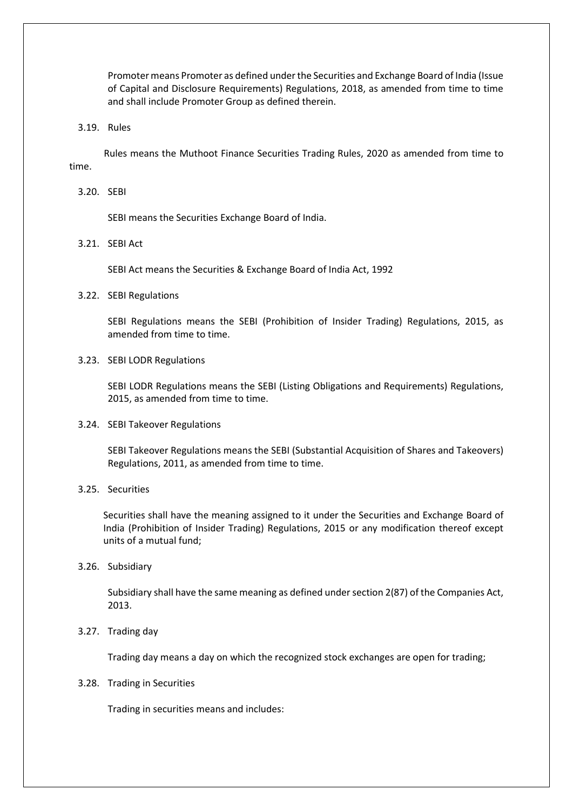Promoter means Promoter as defined under the Securities and Exchange Board of India (Issue of Capital and Disclosure Requirements) Regulations, 2018, as amended from time to time and shall include Promoter Group as defined therein.

3.19. Rules

Rules means the Muthoot Finance Securities Trading Rules, 2020 as amended from time to time.

3.20. SEBI

SEBI means the Securities Exchange Board of India.

3.21. SEBI Act

SEBI Act means the Securities & Exchange Board of India Act, 1992

3.22. SEBI Regulations

SEBI Regulations means the SEBI (Prohibition of Insider Trading) Regulations, 2015, as amended from time to time.

3.23. SEBI LODR Regulations

SEBI LODR Regulations means the SEBI (Listing Obligations and Requirements) Regulations, 2015, as amended from time to time.

3.24. SEBI Takeover Regulations

SEBI Takeover Regulations means the SEBI (Substantial Acquisition of Shares and Takeovers) Regulations, 2011, as amended from time to time.

3.25. Securities

Securities shall have the meaning assigned to it under the Securities and Exchange Board of India (Prohibition of Insider Trading) Regulations, 2015 or any modification thereof except units of a mutual fund;

3.26. Subsidiary

Subsidiary shall have the same meaning as defined under section 2(87) of the Companies Act, 2013.

3.27. Trading day

Trading day means a day on which the recognized stock exchanges are open for trading;

3.28. Trading in Securities

Trading in securities means and includes: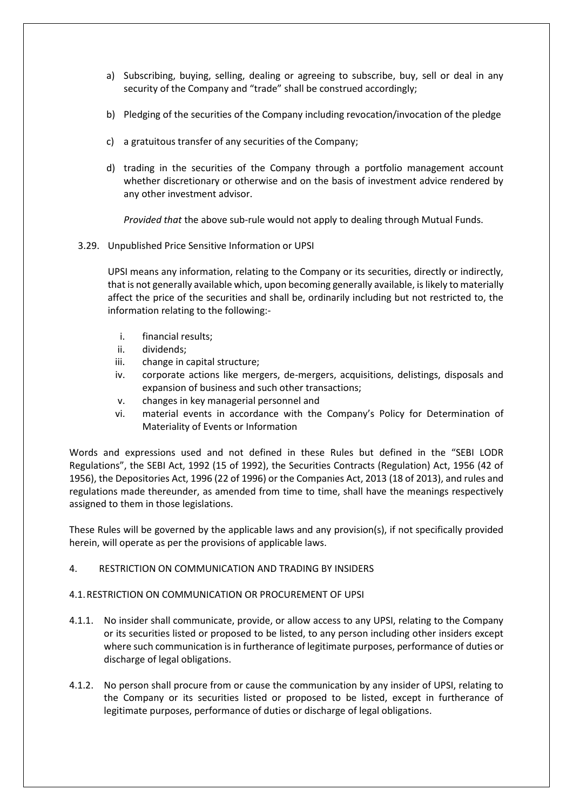- a) Subscribing, buying, selling, dealing or agreeing to subscribe, buy, sell or deal in any security of the Company and "trade" shall be construed accordingly;
- b) Pledging of the securities of the Company including revocation/invocation of the pledge
- c) a gratuitous transfer of any securities of the Company;
- d) trading in the securities of the Company through a portfolio management account whether discretionary or otherwise and on the basis of investment advice rendered by any other investment advisor.

*Provided that* the above sub-rule would not apply to dealing through Mutual Funds.

3.29. Unpublished Price Sensitive Information or UPSI

UPSI means any information, relating to the Company or its securities, directly or indirectly, that is not generally available which, upon becoming generally available, is likely to materially affect the price of the securities and shall be, ordinarily including but not restricted to, the information relating to the following:-

- i. financial results;
- ii. dividends;
- iii. change in capital structure;
- iv. corporate actions like mergers, de-mergers, acquisitions, delistings, disposals and expansion of business and such other transactions;
- v. changes in key managerial personnel and
- vi. material events in accordance with the Company's Policy for Determination of Materiality of Events or Information

Words and expressions used and not defined in these Rules but defined in the "SEBI LODR Regulations", the SEBI Act, 1992 (15 of 1992), the Securities Contracts (Regulation) Act, 1956 (42 of 1956), the Depositories Act, 1996 (22 of 1996) or the Companies Act, 2013 (18 of 2013), and rules and regulations made thereunder, as amended from time to time, shall have the meanings respectively assigned to them in those legislations.

These Rules will be governed by the applicable laws and any provision(s), if not specifically provided herein, will operate as per the provisions of applicable laws.

# 4. RESTRICTION ON COMMUNICATION AND TRADING BY INSIDERS

# 4.1.RESTRICTION ON COMMUNICATION OR PROCUREMENT OF UPSI

- 4.1.1. No insider shall communicate, provide, or allow access to any UPSI, relating to the Company or its securities listed or proposed to be listed, to any person including other insiders except where such communication is in furtherance of legitimate purposes, performance of duties or discharge of legal obligations.
- 4.1.2. No person shall procure from or cause the communication by any insider of UPSI, relating to the Company or its securities listed or proposed to be listed, except in furtherance of legitimate purposes, performance of duties or discharge of legal obligations.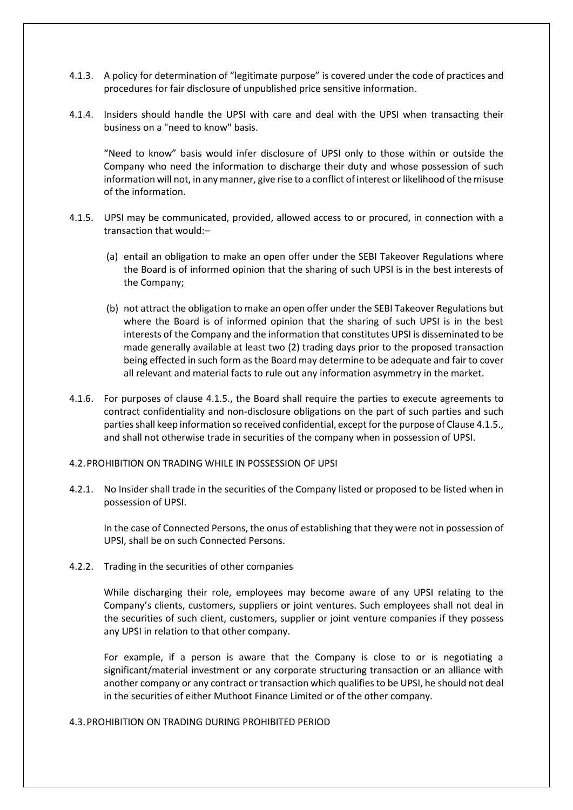- 4.1.3. A policy for determination of "legitimate purpose" is covered under the code of practices and procedures for fair disclosure of unpublished price sensitive information.
- 4.1.4. Insiders should handle the UPSI with care and deal with the UPSI when transacting their business on a "need to know" basis.

"Need to know" basis would infer disclosure of UPSI only to those within or outside the Company who need the information to discharge their duty and whose possession of such information will not, in any manner, give rise to a conflict of interest or likelihood of the misuse of the information.

- 4.1.5. UPSI may be communicated, provided, allowed access to or procured, in connection with a transaction that would:–
	- (a) entail an obligation to make an open offer under the SEBI Takeover Regulations where the Board is of informed opinion that the sharing of such UPSI is in the best interests of the Company;
	- (b) not attract the obligation to make an open offer under the SEBI Takeover Regulations but where the Board is of informed opinion that the sharing of such UPSI is in the best interests of the Company and the information that constitutes UPSI is disseminated to be made generally available at least two (2) trading days prior to the proposed transaction being effected in such form as the Board may determine to be adequate and fair to cover all relevant and material facts to rule out any information asymmetry in the market.
- 4.1.6. For purposes of clause 4.1.5., the Board shall require the parties to execute agreements to contract confidentiality and non-disclosure obligations on the part of such parties and such parties shall keep information so received confidential, except for the purpose of Clause 4.1.5., and shall not otherwise trade in securities of the company when in possession of UPSI.

### 4.2.PROHIBITION ON TRADING WHILE IN POSSESSION OF UPSI

4.2.1. No Insider shall trade in the securities of the Company listed or proposed to be listed when in possession of UPSI.

In the case of Connected Persons, the onus of establishing that they were not in possession of UPSI, shall be on such Connected Persons.

4.2.2. Trading in the securities of other companies

While discharging their role, employees may become aware of any UPSI relating to the Company's clients, customers, suppliers or joint ventures. Such employees shall not deal in the securities of such client, customers, supplier or joint venture companies if they possess any UPSI in relation to that other company.

For example, if a person is aware that the Company is close to or is negotiating a significant/material investment or any corporate structuring transaction or an alliance with another company or any contract or transaction which qualifies to be UPSI, he should not deal in the securities of either Muthoot Finance Limited or of the other company.

# 4.3.PROHIBITION ON TRADING DURING PROHIBITED PERIOD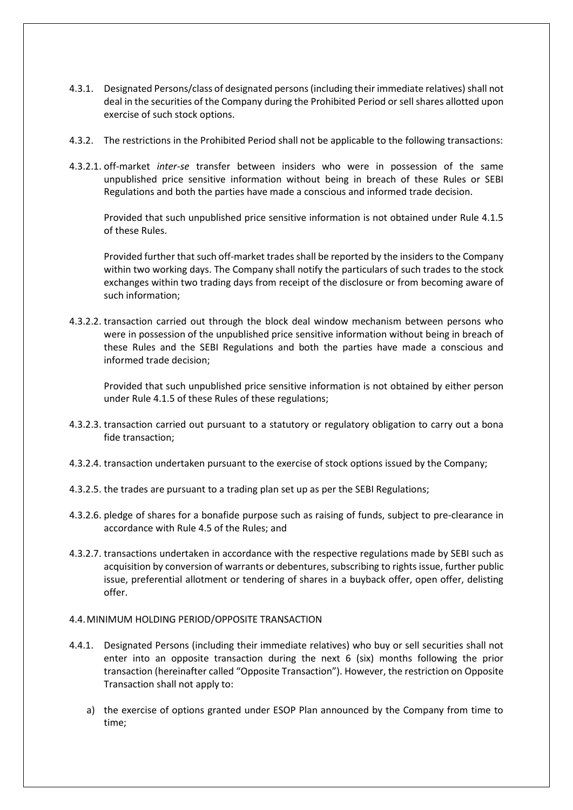- 4.3.1. Designated Persons/class of designated persons (including their immediate relatives) shall not deal in the securities of the Company during the Prohibited Period or sell shares allotted upon exercise of such stock options.
- 4.3.2. The restrictions in the Prohibited Period shall not be applicable to the following transactions:
- 4.3.2.1. off-market *inter-se* transfer between insiders who were in possession of the same unpublished price sensitive information without being in breach of these Rules or SEBI Regulations and both the parties have made a conscious and informed trade decision.

Provided that such unpublished price sensitive information is not obtained under Rule 4.1.5 of these Rules.

Provided further that such off-market trades shall be reported by the insiders to the Company within two working days. The Company shall notify the particulars of such trades to the stock exchanges within two trading days from receipt of the disclosure or from becoming aware of such information;

4.3.2.2. transaction carried out through the block deal window mechanism between persons who were in possession of the unpublished price sensitive information without being in breach of these Rules and the SEBI Regulations and both the parties have made a conscious and informed trade decision;

Provided that such unpublished price sensitive information is not obtained by either person under Rule 4.1.5 of these Rules of these regulations;

- 4.3.2.3. transaction carried out pursuant to a statutory or regulatory obligation to carry out a bona fide transaction;
- 4.3.2.4. transaction undertaken pursuant to the exercise of stock options issued by the Company;
- 4.3.2.5. the trades are pursuant to a trading plan set up as per the SEBI Regulations;
- 4.3.2.6. pledge of shares for a bonafide purpose such as raising of funds, subject to pre-clearance in accordance with Rule 4.5 of the Rules; and
- 4.3.2.7. transactions undertaken in accordance with the respective regulations made by SEBI such as acquisition by conversion of warrants or debentures, subscribing to rights issue, further public issue, preferential allotment or tendering of shares in a buyback offer, open offer, delisting offer.

# 4.4.MINIMUM HOLDING PERIOD/OPPOSITE TRANSACTION

- 4.4.1. Designated Persons (including their immediate relatives) who buy or sell securities shall not enter into an opposite transaction during the next 6 (six) months following the prior transaction (hereinafter called "Opposite Transaction"). However, the restriction on Opposite Transaction shall not apply to:
	- a) the exercise of options granted under ESOP Plan announced by the Company from time to time;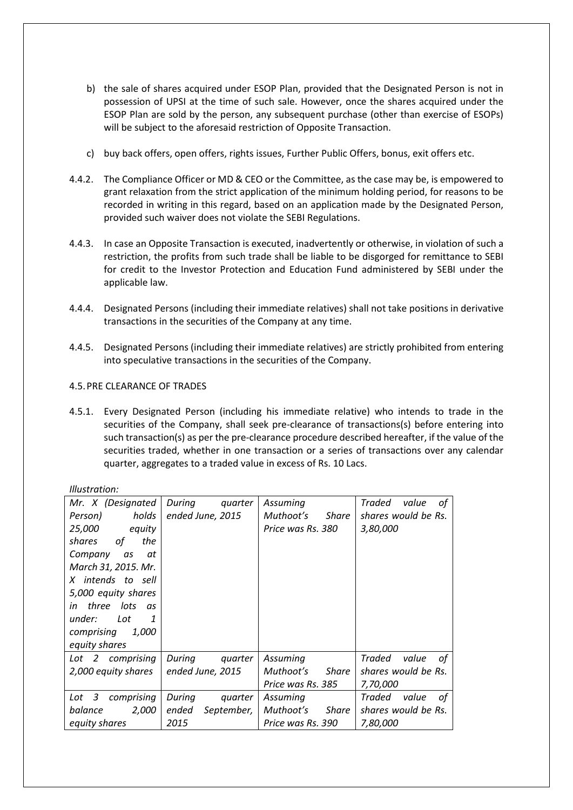- b) the sale of shares acquired under ESOP Plan, provided that the Designated Person is not in possession of UPSI at the time of such sale. However, once the shares acquired under the ESOP Plan are sold by the person, any subsequent purchase (other than exercise of ESOPs) will be subject to the aforesaid restriction of Opposite Transaction.
- c) buy back offers, open offers, rights issues, Further Public Offers, bonus, exit offers etc.
- 4.4.2. The Compliance Officer or MD & CEO or the Committee, as the case may be, is empowered to grant relaxation from the strict application of the minimum holding period, for reasons to be recorded in writing in this regard, based on an application made by the Designated Person, provided such waiver does not violate the SEBI Regulations.
- 4.4.3. In case an Opposite Transaction is executed, inadvertently or otherwise, in violation of such a restriction, the profits from such trade shall be liable to be disgorged for remittance to SEBI for credit to the Investor Protection and Education Fund administered by SEBI under the applicable law.
- 4.4.4. Designated Persons (including their immediate relatives) shall not take positions in derivative transactions in the securities of the Company at any time.
- 4.4.5. Designated Persons (including their immediate relatives) are strictly prohibited from entering into speculative transactions in the securities of the Company.

# 4.5.PRE CLEARANCE OF TRADES

4.5.1. Every Designated Person (including his immediate relative) who intends to trade in the securities of the Company, shall seek pre-clearance of transactions(s) before entering into such transaction(s) as per the pre-clearance procedure described hereafter, if the value of the securities traded, whether in one transaction or a series of transactions over any calendar quarter, aggregates to a traded value in excess of Rs. 10 Lacs.

| Mr. X (Designated             | During<br>quarter   | Assuming                  | Traded<br>value<br>οf |
|-------------------------------|---------------------|---------------------------|-----------------------|
| holds<br>Person)              | ended June, 2015    | Muthoot's<br>Share        | shares would be Rs.   |
| 25,000<br>equity              |                     | Price was Rs. 380         | 3,80,000              |
| the<br>shares<br>οf           |                     |                           |                       |
| Company<br>as<br>at           |                     |                           |                       |
| March 31, 2015. Mr.           |                     |                           |                       |
| X intends to sell             |                     |                           |                       |
| 5,000 equity shares           |                     |                           |                       |
| in three lots<br>as           |                     |                           |                       |
| under:<br>Lot<br>$\mathbf{1}$ |                     |                           |                       |
| comprising<br><i>1,000</i>    |                     |                           |                       |
| equity shares                 |                     |                           |                       |
| Lot 2 comprising              | During<br>quarter   | Assuming                  | Traded<br>value<br>of |
| 2,000 equity shares           | ended June, 2015    | Muthoot's<br><b>Share</b> | shares would be Rs.   |
|                               |                     | Price was Rs. 385         | 7,70,000              |
| 3<br>comprising<br>Lot        | During<br>quarter   | Assuming                  | Traded<br>value<br>оf |
| 2,000<br>balance              | ended<br>September, | Muthoot's<br>Share        | shares would be Rs.   |
| equity shares                 | 2015                | Price was Rs. 390         | 7,80,000              |

*Illustration:*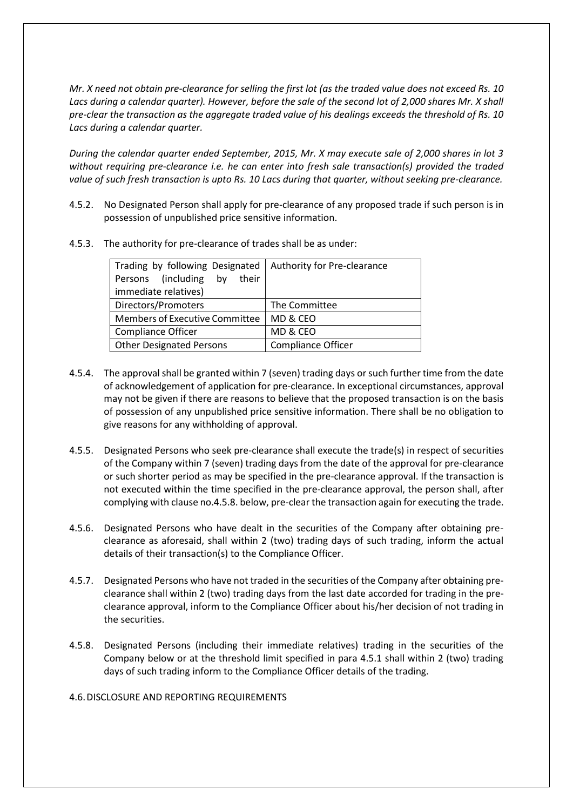*Mr. X need not obtain pre-clearance for selling the first lot (as the traded value does not exceed Rs. 10 Lacs during a calendar quarter). However, before the sale of the second lot of 2,000 shares Mr. X shall pre-clear the transaction as the aggregate traded value of his dealings exceeds the threshold of Rs. 10 Lacs during a calendar quarter.* 

*During the calendar quarter ended September, 2015, Mr. X may execute sale of 2,000 shares in lot 3 without requiring pre-clearance i.e. he can enter into fresh sale transaction(s) provided the traded value of such fresh transaction is upto Rs. 10 Lacs during that quarter, without seeking pre-clearance.*

- 4.5.2. No Designated Person shall apply for pre-clearance of any proposed trade if such person is in possession of unpublished price sensitive information.
- 4.5.3. The authority for pre-clearance of trades shall be as under:

| Trading by following Designated       | Authority for Pre-clearance |  |
|---------------------------------------|-----------------------------|--|
| Persons (including by their           |                             |  |
| immediate relatives)                  |                             |  |
| Directors/Promoters                   | The Committee               |  |
| <b>Members of Executive Committee</b> | MD & CEO                    |  |
| <b>Compliance Officer</b>             | MD & CEO                    |  |
| <b>Other Designated Persons</b>       | <b>Compliance Officer</b>   |  |

- 4.5.4. The approval shall be granted within 7 (seven) trading days or such further time from the date of acknowledgement of application for pre-clearance. In exceptional circumstances, approval may not be given if there are reasons to believe that the proposed transaction is on the basis of possession of any unpublished price sensitive information. There shall be no obligation to give reasons for any withholding of approval.
- 4.5.5. Designated Persons who seek pre-clearance shall execute the trade(s) in respect of securities of the Company within 7 (seven) trading days from the date of the approval for pre-clearance or such shorter period as may be specified in the pre-clearance approval. If the transaction is not executed within the time specified in the pre-clearance approval, the person shall, after complying with clause no.4.5.8. below, pre-clear the transaction again for executing the trade.
- 4.5.6. Designated Persons who have dealt in the securities of the Company after obtaining preclearance as aforesaid, shall within 2 (two) trading days of such trading, inform the actual details of their transaction(s) to the Compliance Officer.
- 4.5.7. Designated Persons who have not traded in the securities of the Company after obtaining preclearance shall within 2 (two) trading days from the last date accorded for trading in the preclearance approval, inform to the Compliance Officer about his/her decision of not trading in the securities.
- 4.5.8. Designated Persons (including their immediate relatives) trading in the securities of the Company below or at the threshold limit specified in para 4.5.1 shall within 2 (two) trading days of such trading inform to the Compliance Officer details of the trading.
- 4.6.DISCLOSURE AND REPORTING REQUIREMENTS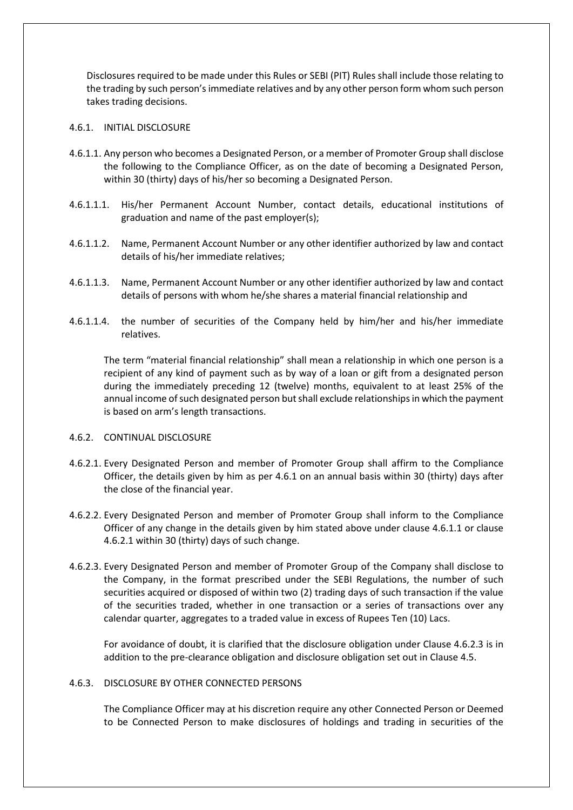Disclosures required to be made under this Rules or SEBI (PIT) Rules shall include those relating to the trading by such person's immediate relatives and by any other person form whom such person takes trading decisions.

## 4.6.1. INITIAL DISCLOSURE

- 4.6.1.1. Any person who becomes a Designated Person, or a member of Promoter Group shall disclose the following to the Compliance Officer, as on the date of becoming a Designated Person, within 30 (thirty) days of his/her so becoming a Designated Person.
- 4.6.1.1.1. His/her Permanent Account Number, contact details, educational institutions of graduation and name of the past employer(s);
- 4.6.1.1.2. Name, Permanent Account Number or any other identifier authorized by law and contact details of his/her immediate relatives;
- 4.6.1.1.3. Name, Permanent Account Number or any other identifier authorized by law and contact details of persons with whom he/she shares a material financial relationship and
- 4.6.1.1.4. the number of securities of the Company held by him/her and his/her immediate relatives.

The term "material financial relationship" shall mean a relationship in which one person is a recipient of any kind of payment such as by way of a loan or gift from a designated person during the immediately preceding 12 (twelve) months, equivalent to at least 25% of the annual income of such designated person but shall exclude relationships in which the payment is based on arm's length transactions.

### 4.6.2. CONTINUAL DISCLOSURE

- 4.6.2.1. Every Designated Person and member of Promoter Group shall affirm to the Compliance Officer, the details given by him as per 4.6.1 on an annual basis within 30 (thirty) days after the close of the financial year.
- 4.6.2.2. Every Designated Person and member of Promoter Group shall inform to the Compliance Officer of any change in the details given by him stated above under clause 4.6.1.1 or clause 4.6.2.1 within 30 (thirty) days of such change.
- 4.6.2.3. Every Designated Person and member of Promoter Group of the Company shall disclose to the Company, in the format prescribed under the SEBI Regulations, the number of such securities acquired or disposed of within two (2) trading days of such transaction if the value of the securities traded, whether in one transaction or a series of transactions over any calendar quarter, aggregates to a traded value in excess of Rupees Ten (10) Lacs.

For avoidance of doubt, it is clarified that the disclosure obligation under Clause 4.6.2.3 is in addition to the pre-clearance obligation and disclosure obligation set out in Clause 4.5.

### 4.6.3. DISCLOSURE BY OTHER CONNECTED PERSONS

The Compliance Officer may at his discretion require any other Connected Person or Deemed to be Connected Person to make disclosures of holdings and trading in securities of the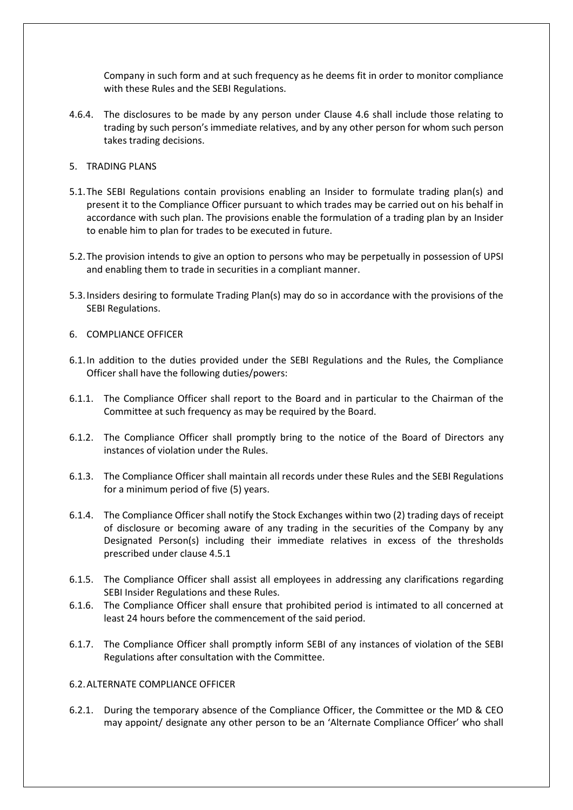Company in such form and at such frequency as he deems fit in order to monitor compliance with these Rules and the SEBI Regulations.

- 4.6.4. The disclosures to be made by any person under Clause 4.6 shall include those relating to trading by such person's immediate relatives, and by any other person for whom such person takes trading decisions.
- 5. TRADING PLANS
- 5.1.The SEBI Regulations contain provisions enabling an Insider to formulate trading plan(s) and present it to the Compliance Officer pursuant to which trades may be carried out on his behalf in accordance with such plan. The provisions enable the formulation of a trading plan by an Insider to enable him to plan for trades to be executed in future.
- 5.2.The provision intends to give an option to persons who may be perpetually in possession of UPSI and enabling them to trade in securities in a compliant manner.
- 5.3.Insiders desiring to formulate Trading Plan(s) may do so in accordance with the provisions of the SEBI Regulations.
- 6. COMPLIANCE OFFICER
- 6.1.In addition to the duties provided under the SEBI Regulations and the Rules, the Compliance Officer shall have the following duties/powers:
- 6.1.1. The Compliance Officer shall report to the Board and in particular to the Chairman of the Committee at such frequency as may be required by the Board.
- 6.1.2. The Compliance Officer shall promptly bring to the notice of the Board of Directors any instances of violation under the Rules.
- 6.1.3. The Compliance Officer shall maintain all records under these Rules and the SEBI Regulations for a minimum period of five (5) years.
- 6.1.4. The Compliance Officer shall notify the Stock Exchanges within two (2) trading days of receipt of disclosure or becoming aware of any trading in the securities of the Company by any Designated Person(s) including their immediate relatives in excess of the thresholds prescribed under clause 4.5.1
- 6.1.5. The Compliance Officer shall assist all employees in addressing any clarifications regarding SEBI Insider Regulations and these Rules.
- 6.1.6. The Compliance Officer shall ensure that prohibited period is intimated to all concerned at least 24 hours before the commencement of the said period.
- 6.1.7. The Compliance Officer shall promptly inform SEBI of any instances of violation of the SEBI Regulations after consultation with the Committee.

# 6.2.ALTERNATE COMPLIANCE OFFICER

6.2.1. During the temporary absence of the Compliance Officer, the Committee or the MD & CEO may appoint/ designate any other person to be an 'Alternate Compliance Officer' who shall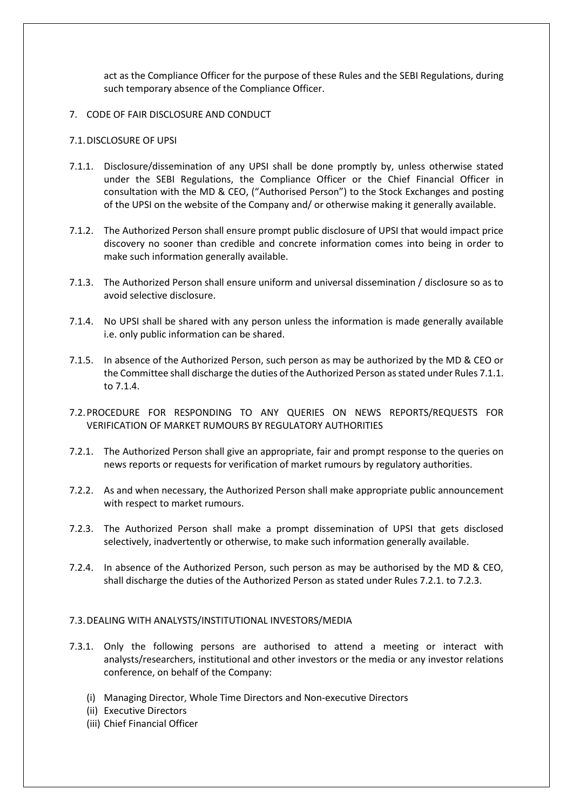act as the Compliance Officer for the purpose of these Rules and the SEBI Regulations, during such temporary absence of the Compliance Officer.

7. CODE OF FAIR DISCLOSURE AND CONDUCT

### 7.1.DISCLOSURE OF UPSI

- 7.1.1. Disclosure/dissemination of any UPSI shall be done promptly by, unless otherwise stated under the SEBI Regulations, the Compliance Officer or the Chief Financial Officer in consultation with the MD & CEO, ("Authorised Person") to the Stock Exchanges and posting of the UPSI on the website of the Company and/ or otherwise making it generally available.
- 7.1.2. The Authorized Person shall ensure prompt public disclosure of UPSI that would impact price discovery no sooner than credible and concrete information comes into being in order to make such information generally available.
- 7.1.3. The Authorized Person shall ensure uniform and universal dissemination / disclosure so as to avoid selective disclosure.
- 7.1.4. No UPSI shall be shared with any person unless the information is made generally available i.e. only public information can be shared.
- 7.1.5. In absence of the Authorized Person, such person as may be authorized by the MD & CEO or the Committee shall discharge the duties of the Authorized Person as stated under Rules 7.1.1. to 7.1.4.
- 7.2.PROCEDURE FOR RESPONDING TO ANY QUERIES ON NEWS REPORTS/REQUESTS FOR VERIFICATION OF MARKET RUMOURS BY REGULATORY AUTHORITIES
- 7.2.1. The Authorized Person shall give an appropriate, fair and prompt response to the queries on news reports or requests for verification of market rumours by regulatory authorities.
- 7.2.2. As and when necessary, the Authorized Person shall make appropriate public announcement with respect to market rumours.
- 7.2.3. The Authorized Person shall make a prompt dissemination of UPSI that gets disclosed selectively, inadvertently or otherwise, to make such information generally available.
- 7.2.4. In absence of the Authorized Person, such person as may be authorised by the MD & CEO, shall discharge the duties of the Authorized Person as stated under Rules 7.2.1. to 7.2.3.

### 7.3.DEALING WITH ANALYSTS/INSTITUTIONAL INVESTORS/MEDIA

- 7.3.1. Only the following persons are authorised to attend a meeting or interact with analysts/researchers, institutional and other investors or the media or any investor relations conference, on behalf of the Company:
	- (i) Managing Director, Whole Time Directors and Non-executive Directors
	- (ii) Executive Directors
	- (iii) Chief Financial Officer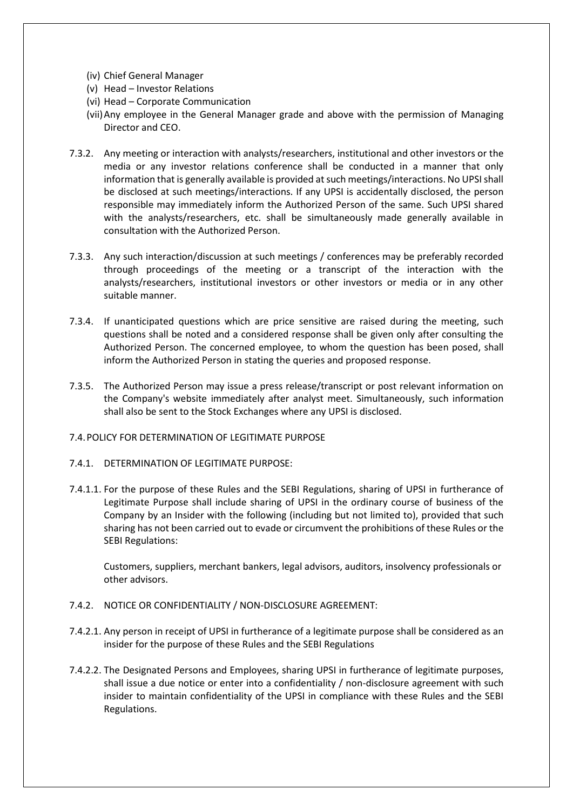- (iv) Chief General Manager
- (v) Head Investor Relations
- (vi) Head Corporate Communication
- (vii)Any employee in the General Manager grade and above with the permission of Managing Director and CEO.
- 7.3.2. Any meeting or interaction with analysts/researchers, institutional and other investors or the media or any investor relations conference shall be conducted in a manner that only information that is generally available is provided at such meetings/interactions. No UPSI shall be disclosed at such meetings/interactions. If any UPSI is accidentally disclosed, the person responsible may immediately inform the Authorized Person of the same. Such UPSI shared with the analysts/researchers, etc. shall be simultaneously made generally available in consultation with the Authorized Person.
- 7.3.3. Any such interaction/discussion at such meetings / conferences may be preferably recorded through proceedings of the meeting or a transcript of the interaction with the analysts/researchers, institutional investors or other investors or media or in any other suitable manner.
- 7.3.4. If unanticipated questions which are price sensitive are raised during the meeting, such questions shall be noted and a considered response shall be given only after consulting the Authorized Person. The concerned employee, to whom the question has been posed, shall inform the Authorized Person in stating the queries and proposed response.
- 7.3.5. The Authorized Person may issue a press release/transcript or post relevant information on the Company's website immediately after analyst meet. Simultaneously, such information shall also be sent to the Stock Exchanges where any UPSI is disclosed.
- 7.4.POLICY FOR DETERMINATION OF LEGITIMATE PURPOSE
- 7.4.1. DETERMINATION OF LEGITIMATE PURPOSE:
- 7.4.1.1. For the purpose of these Rules and the SEBI Regulations, sharing of UPSI in furtherance of Legitimate Purpose shall include sharing of UPSI in the ordinary course of business of the Company by an Insider with the following (including but not limited to), provided that such sharing has not been carried out to evade or circumvent the prohibitions of these Rules or the SEBI Regulations:

Customers, suppliers, merchant bankers, legal advisors, auditors, insolvency professionals or other advisors.

- 7.4.2. NOTICE OR CONFIDENTIALITY / NON-DISCLOSURE AGREEMENT:
- 7.4.2.1. Any person in receipt of UPSI in furtherance of a legitimate purpose shall be considered as an insider for the purpose of these Rules and the SEBI Regulations
- 7.4.2.2. The Designated Persons and Employees, sharing UPSI in furtherance of legitimate purposes, shall issue a due notice or enter into a confidentiality / non-disclosure agreement with such insider to maintain confidentiality of the UPSI in compliance with these Rules and the SEBI Regulations.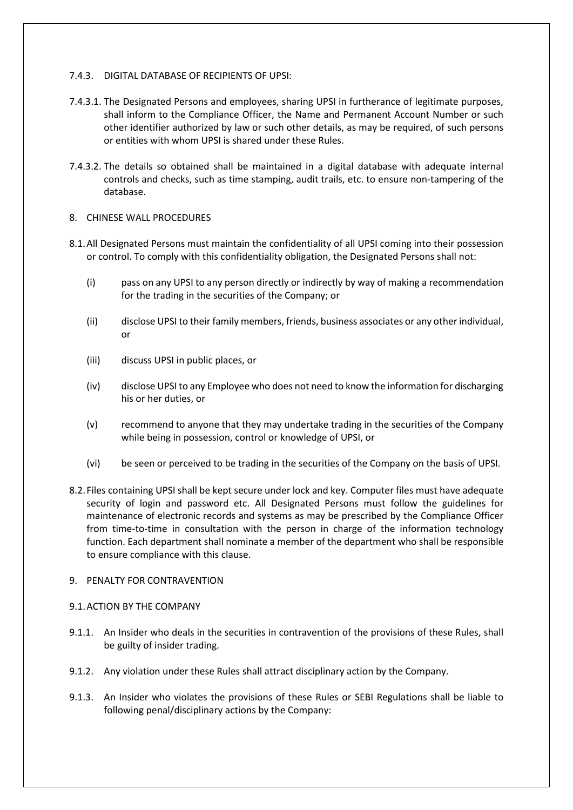# 7.4.3. DIGITAL DATABASE OF RECIPIENTS OF UPSI:

- 7.4.3.1. The Designated Persons and employees, sharing UPSI in furtherance of legitimate purposes, shall inform to the Compliance Officer, the Name and Permanent Account Number or such other identifier authorized by law or such other details, as may be required, of such persons or entities with whom UPSI is shared under these Rules.
- 7.4.3.2. The details so obtained shall be maintained in a digital database with adequate internal controls and checks, such as time stamping, audit trails, etc. to ensure non-tampering of the database.

# 8. CHINESE WALL PROCEDURES

- 8.1.All Designated Persons must maintain the confidentiality of all UPSI coming into their possession or control. To comply with this confidentiality obligation, the Designated Persons shall not:
	- (i) pass on any UPSI to any person directly or indirectly by way of making a recommendation for the trading in the securities of the Company; or
	- (ii) disclose UPSI to their family members, friends, business associates or any other individual, or
	- (iii) discuss UPSI in public places, or
	- (iv) disclose UPSI to any Employee who does not need to know the information for discharging his or her duties, or
	- (v) recommend to anyone that they may undertake trading in the securities of the Company while being in possession, control or knowledge of UPSI, or
	- (vi) be seen or perceived to be trading in the securities of the Company on the basis of UPSI.
- 8.2.Files containing UPSI shall be kept secure under lock and key. Computer files must have adequate security of login and password etc. All Designated Persons must follow the guidelines for maintenance of electronic records and systems as may be prescribed by the Compliance Officer from time-to-time in consultation with the person in charge of the information technology function. Each department shall nominate a member of the department who shall be responsible to ensure compliance with this clause.

# 9. PENALTY FOR CONTRAVENTION

# 9.1.ACTION BY THE COMPANY

- 9.1.1. An Insider who deals in the securities in contravention of the provisions of these Rules, shall be guilty of insider trading.
- 9.1.2. Any violation under these Rules shall attract disciplinary action by the Company.
- 9.1.3. An Insider who violates the provisions of these Rules or SEBI Regulations shall be liable to following penal/disciplinary actions by the Company: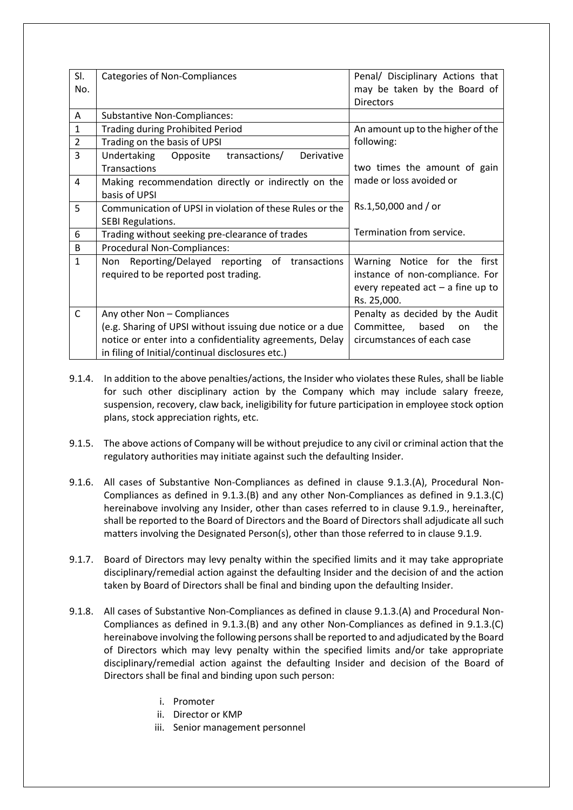| SI.            | Categories of Non-Compliances                             | Penal/ Disciplinary Actions that    |
|----------------|-----------------------------------------------------------|-------------------------------------|
| No.            |                                                           | may be taken by the Board of        |
|                |                                                           | <b>Directors</b>                    |
| Α              | <b>Substantive Non-Compliances:</b>                       |                                     |
| 1              | <b>Trading during Prohibited Period</b>                   | An amount up to the higher of the   |
| $\overline{2}$ | Trading on the basis of UPSI                              | following:                          |
| 3              | Undertaking Opposite transactions/<br>Derivative          |                                     |
|                | <b>Transactions</b>                                       | two times the amount of gain        |
| 4              | Making recommendation directly or indirectly on the       | made or loss avoided or             |
|                | basis of UPSI                                             |                                     |
| 5              | Communication of UPSI in violation of these Rules or the  | Rs.1,50,000 and / or                |
|                | SEBI Regulations.                                         |                                     |
| 6              | Trading without seeking pre-clearance of trades           | Termination from service.           |
| B              | Procedural Non-Compliances:                               |                                     |
| $\mathbf{1}$   | Non Reporting/Delayed reporting of transactions           | Warning Notice for the first        |
|                | required to be reported post trading.                     | instance of non-compliance. For     |
|                |                                                           | every repeated $act - a$ fine up to |
|                |                                                           | Rs. 25,000.                         |
| C              | Any other Non - Compliances                               | Penalty as decided by the Audit     |
|                | (e.g. Sharing of UPSI without issuing due notice or a due | Committee, based<br>the<br>on       |
|                | notice or enter into a confidentiality agreements, Delay  | circumstances of each case          |
|                | in filing of Initial/continual disclosures etc.)          |                                     |

- 9.1.4. In addition to the above penalties/actions, the Insider who violates these Rules, shall be liable for such other disciplinary action by the Company which may include salary freeze, suspension, recovery, claw back, ineligibility for future participation in employee stock option plans, stock appreciation rights, etc.
- 9.1.5. The above actions of Company will be without prejudice to any civil or criminal action that the regulatory authorities may initiate against such the defaulting Insider.
- 9.1.6. All cases of Substantive Non-Compliances as defined in clause 9.1.3.(A), Procedural Non-Compliances as defined in 9.1.3.(B) and any other Non-Compliances as defined in 9.1.3.(C) hereinabove involving any Insider, other than cases referred to in clause 9.1.9., hereinafter, shall be reported to the Board of Directors and the Board of Directors shall adjudicate all such matters involving the Designated Person(s), other than those referred to in clause 9.1.9.
- 9.1.7. Board of Directors may levy penalty within the specified limits and it may take appropriate disciplinary/remedial action against the defaulting Insider and the decision of and the action taken by Board of Directors shall be final and binding upon the defaulting Insider.
- 9.1.8. All cases of Substantive Non-Compliances as defined in clause 9.1.3.(A) and Procedural Non-Compliances as defined in 9.1.3.(B) and any other Non-Compliances as defined in 9.1.3.(C) hereinabove involving the following persons shall be reported to and adjudicated by the Board of Directors which may levy penalty within the specified limits and/or take appropriate disciplinary/remedial action against the defaulting Insider and decision of the Board of Directors shall be final and binding upon such person:
	- i. Promoter
	- ii. Director or KMP
	- iii. Senior management personnel